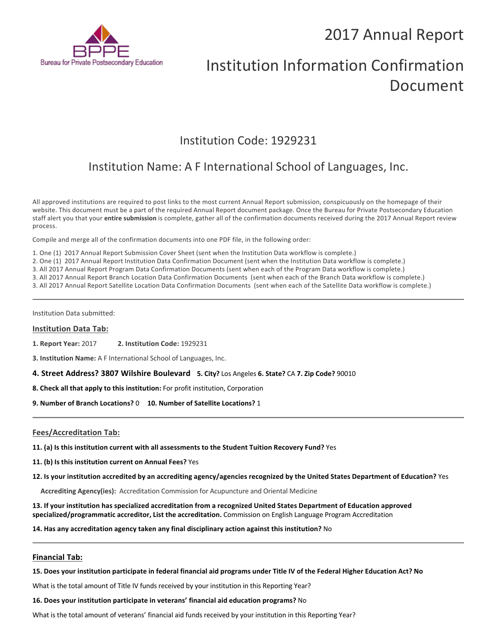## 2017 Annual Report



# Institution Information Confirmation Document

### Institution Code: 1929231

## Institution Name: A F International School of Languages, Inc.

All approved institutions are required to post links to the most current Annual Report submission, conspicuously on the homepage of their website. This document must be a part of the required Annual Report document package. Once the Bureau for Private Postsecondary Education staff alert you that your **entire submission** is complete, gather all of the confirmation documents received during the 2017 Annual Report review process.

Compile and merge all of the confirmation documents into one PDF file, in the following order:

1. One (1) 2017 Annual Report Submission Cover Sheet (sent when the Institution Data workflow is complete.)

2. One (1) 2017 Annual Report Institution Data Confirmation Document (sent when the Institution Data workflow is complete.)

3. All 2017 Annual Report Program Data Confirmation Documents (sent when each of the Program Data workflow is complete.)

3. All 2017 Annual Report Branch Location Data Confirmation Documents (sent when each of the Branch Data workflow is complete.)

3. All 2017 Annual Report Satellite Location Data Confirmation Documents (sent when each of the Satellite Data workflow is complete.)

Institution Data submitted:

#### **Institution Data Tab:**

**1. Report Year:** 2017 **2. Institution Code:** <sup>1929231</sup>

**3. Institution Name:** A F International School of Languages, Inc.

**4. Street Address? 3807 Wilshire Boulevard 5. City?** Los Angeles **6. State?** CA **7. Zip Code?** 90010

**8. Check all that apply to this institution:** For profit institution, Corporation

**9. Number of Branch Locations?** 0 **10. Number of Satellite Locations?** <sup>1</sup>

#### **Fees/Accreditation Tab:**

**11. (a) Is this institution current with all assessments to the Student Tuition Recovery Fund?** Yes

**11. (b) Is this institution current on Annual Fees?** Yes

**12. Is your institution accredited by an accrediting agency/agencies recognized by the United States Department of Education?** Yes

**Accrediting Agency(ies):** Accreditation Commission for Acupuncture and Oriental Medicine

**13. If your institution has specialized accreditation from a recognized United States Department of Education approved specialized/programmatic accreditor, List the accreditation.** Commission on English Language Program Accreditation

**14. Has any accreditation agency taken any final disciplinary action against this institution?** No

#### **Financial Tab:**

**15. Does your institution participate in federal financial aid programs under Title IV of the Federal Higher Education Act? No**

What is the total amount of Title IV funds received by your institution in this Reporting Year?

**16. Does your institution participate in veterans' financial aid education programs?** No

What is the total amount of veterans' financial aid funds received by your institution in this Reporting Year?